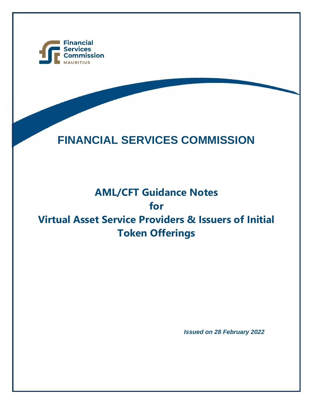

# **FINANCIAL SERVICES COMMISSION**

## **AML/CFT Guidance Notes for Virtual Asset Service Providers & Issuers of Initial Token Offerings**

*Issued on 28 February 2022*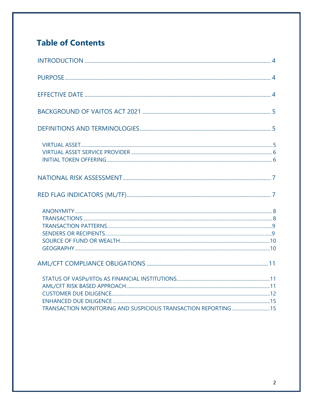### **Table of Contents**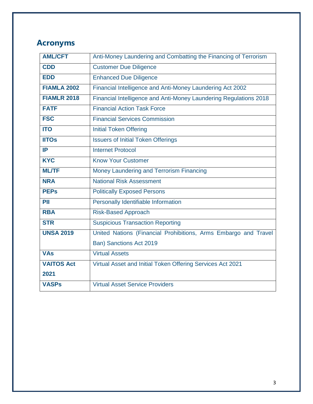### **Acronyms**

| <b>AML/CFT</b>     | Anti-Money Laundering and Combatting the Financing of Terrorism   |
|--------------------|-------------------------------------------------------------------|
| <b>CDD</b>         | <b>Customer Due Diligence</b>                                     |
| <b>EDD</b>         | <b>Enhanced Due Diligence</b>                                     |
| <b>FIAMLA 2002</b> | Financial Intelligence and Anti-Money Laundering Act 2002         |
| <b>FIAMLR 2018</b> | Financial Intelligence and Anti-Money Laundering Regulations 2018 |
| <b>FATF</b>        | <b>Financial Action Task Force</b>                                |
| <b>FSC</b>         | <b>Financial Services Commission</b>                              |
| <b>ITO</b>         | <b>Initial Token Offering</b>                                     |
| <b>IITOs</b>       | <b>Issuers of Initial Token Offerings</b>                         |
| IP                 | <b>Internet Protocol</b>                                          |
| <b>KYC</b>         | <b>Know Your Customer</b>                                         |
| <b>ML/TF</b>       | Money Laundering and Terrorism Financing                          |
| <b>NRA</b>         | <b>National Risk Assessment</b>                                   |
| <b>PEPs</b>        | <b>Politically Exposed Persons</b>                                |
| PII                | Personally Identifiable Information                               |
| <b>RBA</b>         | <b>Risk-Based Approach</b>                                        |
| <b>STR</b>         | <b>Suspicious Transaction Reporting</b>                           |
| <b>UNSA 2019</b>   | United Nations (Financial Prohibitions, Arms Embargo and Travel   |
|                    | Ban) Sanctions Act 2019                                           |
| <b>VAs</b>         | <b>Virtual Assets</b>                                             |
| <b>VAITOS Act</b>  | Virtual Asset and Initial Token Offering Services Act 2021        |
| 2021               |                                                                   |
| <b>VASPs</b>       | <b>Virtual Asset Service Providers</b>                            |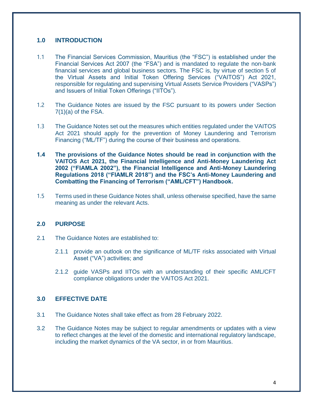#### **1.0 INTRODUCTION**

- 1.1 The Financial Services Commission, Mauritius (the "FSC") is established under the Financial Services Act 2007 (the "FSA") and is mandated to regulate the non-bank financial services and global business sectors. The FSC is, by virtue of section 5 of the Virtual Assets and Initial Token Offering Services ("VAITOS") Act 2021, responsible for regulating and supervising Virtual Assets Service Providers ("VASPs") and Issuers of Initial Token Offerings ("IITOs").
- 1.2 The Guidance Notes are issued by the FSC pursuant to its powers under Section  $7(1)(a)$  of the FSA.
- 1.3 The Guidance Notes set out the measures which entities regulated under the VAITOS Act 2021 should apply for the prevention of Money Laundering and Terrorism Financing ("ML/TF") during the course of their business and operations.
- **1.4 The provisions of the Guidance Notes should be read in conjunction with the VAITOS Act 2021, the Financial Intelligence and Anti-Money Laundering Act 2002 ("FIAMLA 2002"), the Financial Intelligence and Anti-Money Laundering Regulations 2018 ("FIAMLR 2018") and the FSC's Anti-Money Laundering and Combatting the Financing of Terrorism ("AML/CFT") Handbook.**
- 1.5 Terms used in these Guidance Notes shall, unless otherwise specified, have the same meaning as under the relevant Acts.

#### **2.0 PURPOSE**

- 2.1 The Guidance Notes are established to:
	- 2.1.1 provide an outlook on the significance of ML/TF risks associated with Virtual Asset ("VA") activities; and
	- 2.1.2 guide VASPs and IITOs with an understanding of their specific AML/CFT compliance obligations under the VAITOS Act 2021.

#### **3.0 EFFECTIVE DATE**

- 3.1 The Guidance Notes shall take effect as from 28 February 2022.
- 3.2 The Guidance Notes may be subject to regular amendments or updates with a view to reflect changes at the level of the domestic and international regulatory landscape, including the market dynamics of the VA sector, in or from Mauritius.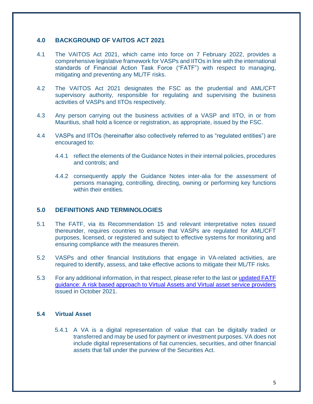#### **4.0 BACKGROUND OF VAITOS ACT 2021**

- 4.1 The VAITOS Act 2021, which came into force on 7 February 2022, provides a comprehensive legislative framework for VASPs and IITOs in line with the international standards of Financial Action Task Force ("FATF") with respect to managing, mitigating and preventing any ML/TF risks.
- 4.2 The VAITOS Act 2021 designates the FSC as the prudential and AML/CFT supervisory authority, responsible for regulating and supervising the business activities of VASPs and IITOs respectively.
- 4.3 Any person carrying out the business activities of a VASP and IITO, in or from Mauritius, shall hold a licence or registration, as appropriate, issued by the FSC.
- 4.4 VASPs and IITOs (hereinafter also collectively referred to as "regulated entities") are encouraged to:
	- 4.4.1 reflect the elements of the Guidance Notes in their internal policies, procedures and controls; and
	- 4.4.2 consequently apply the Guidance Notes inter-alia for the assessment of persons managing, controlling, directing, owning or performing key functions within their entities.

#### **5.0 DEFINITIONS AND TERMINOLOGIES**

- 5.1 The FATF, via its Recommendation 15 and relevant interpretative notes issued thereunder, requires countries to ensure that VASPs are regulated for AML/CFT purposes, licensed, or registered and subject to effective systems for monitoring and ensuring compliance with the measures therein.
- 5.2 VASPs and other financial Institutions that engage in VA-related activities, are required to identify, assess, and take effective actions to mitigate their ML/TF risks.
- 5.3 For any additional information, in that respect, please refer to the last or [updated FATF](https://www.fatf-gafi.org/media/fatf/documents/recommendations/Updated-Guidance-VA-VASP.pdf)  [guidance: A risk based approach to Virtual Assets and Virtual asset service providers](https://www.fatf-gafi.org/media/fatf/documents/recommendations/Updated-Guidance-VA-VASP.pdf) issued in October 2021.

#### **5.4 Virtual Asset**

5.4.1 A VA is a digital representation of value that can be digitally traded or transferred and may be used for payment or investment purposes. VA does not include digital representations of fiat currencies, securities, and other financial assets that fall under the purview of the Securities Act.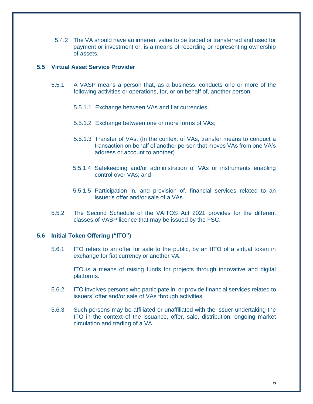5.4.2 The VA should have an inherent value to be traded or transferred and used for payment or investment or, is a means of recording or representing ownership of assets.

#### **5.5 Virtual Asset Service Provider**

- 5.5.1 A VASP means a person that, as a business, conducts one or more of the following activities or operations, for, or on behalf of, another person:
	- 5.5.1.1 Exchange between VAs and fiat currencies;
	- 5.5.1.2 Exchange between one or more forms of VAs;
	- 5.5.1.3 Transfer of VAs; (In the context of VAs, transfer means to conduct a transaction on behalf of another person that moves VAs from one VA's address or account to another)
	- 5.5.1.4 Safekeeping and/or administration of VAs or instruments enabling control over VAs; and
	- 5.5.1.5 Participation in, and provision of, financial services related to an issuer's offer and/or sale of a VAs.
- 5.5.2 The Second Schedule of the VAITOS Act 2021 provides for the different classes of VASP licence that may be issued by the FSC.

#### **5.6 Initial Token Offering ("ITO")**

5.6.1 ITO refers to an offer for sale to the public, by an IITO of a virtual token in exchange for fiat currency or another VA.

ITO is a means of raising funds for projects through innovative and digital platforms.

- 5.6.2 ITO involves persons who participate in, or provide financial services related to issuers' offer and/or sale of VAs through activities.
- 5.6.3 Such persons may be affiliated or unaffiliated with the issuer undertaking the ITO in the context of the issuance, offer, sale, distribution, ongoing market circulation and trading of a VA.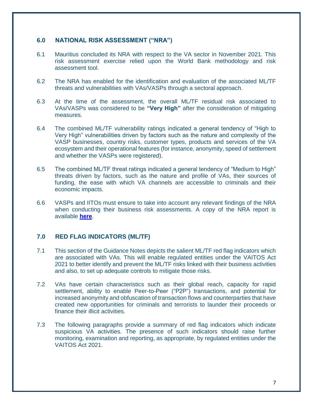#### **6.0 NATIONAL RISK ASSESSMENT ("NRA")**

- 6.1 Mauritius concluded its NRA with respect to the VA sector in November 2021. This risk assessment exercise relied upon the World Bank methodology and risk assessment tool.
- 6.2 The NRA has enabled for the identification and evaluation of the associated ML/TF threats and vulnerabilities with VAs/VASPs through a sectoral approach.
- 6.3 At the time of the assessment, the overall ML/TF residual risk associated to VAs/VASPs was considered to be **"Very High"** after the consideration of mitigating measures.
- 6.4 The combined ML/TF vulnerability ratings indicated a general tendency of "High to Very High" vulnerabilities driven by factors such as the nature and complexity of the VASP businesses, country risks, customer types, products and services of the VA ecosystem and their operational features (for instance, anonymity, speed of settlement and whether the VASPs were registered).
- 6.5 The combined ML/TF threat ratings indicated a general tendency of "Medium to High" threats driven by factors, such as the nature and profile of VAs, their sources of funding, the ease with which VA channels are accessible to criminals and their economic impacts.
- 6.6 VASPs and IITOs must ensure to take into account any relevant findings of the NRA when conducting their business risk assessments. A copy of the NRA report is available **[here](https://financialservices.govmu.org/Documents/Public%20Version%20of%20the%20VA_VASP%20Risk%20Assessment%20report%2024%20Feb%202022.pdf)**.

#### **7.0 RED FLAG INDICATORS (ML/TF)**

- 7.1 This section of the Guidance Notes depicts the salient ML/TF red flag indicators which are associated with VAs. This will enable regulated entities under the VAITOS Act 2021 to better identify and prevent the ML/TF risks linked with their business activities and also, to set up adequate controls to mitigate those risks.
- 7.2 VAs have certain characteristics such as their global reach, capacity for rapid settlement, ability to enable Peer-to-Peer ("P2P") transactions, and potential for increased anonymity and obfuscation of transaction flows and counterparties that have created new opportunities for criminals and terrorists to launder their proceeds or finance their illicit activities.
- 7.3 The following paragraphs provide a summary of red flag indicators which indicate suspicious VA activities. The presence of such indicators should raise further monitoring, examination and reporting, as appropriate, by regulated entities under the VAITOS Act 2021.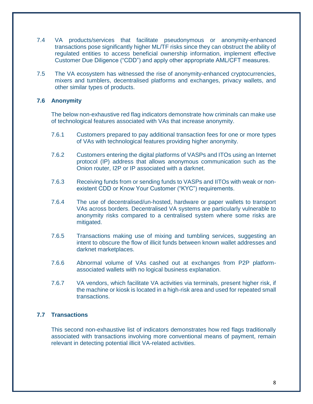- 7.4 VA products/services that facilitate pseudonymous or anonymity-enhanced transactions pose significantly higher ML/TF risks since they can obstruct the ability of regulated entities to access beneficial ownership information, implement effective Customer Due Diligence ("CDD") and apply other appropriate AML/CFT measures.
- 7.5 The VA ecosystem has witnessed the rise of anonymity-enhanced cryptocurrencies, mixers and tumblers, decentralised platforms and exchanges, privacy wallets, and other similar types of products.

#### **7.6 Anonymity**

The below non-exhaustive red flag indicators demonstrate how criminals can make use of technological features associated with VAs that increase anonymity.

- 7.6.1 Customers prepared to pay additional transaction fees for one or more types of VAs with technological features providing higher anonymity.
- 7.6.2 Customers entering the digital platforms of VASPs and ITOs using an Internet protocol (IP) address that allows anonymous communication such as the Onion router, I2P or IP associated with a darknet.
- 7.6.3 Receiving funds from or sending funds to VASPs and IITOs with weak or nonexistent CDD or Know Your Customer ("KYC") requirements.
- 7.6.4 The use of decentralised/un-hosted, hardware or paper wallets to transport VAs across borders. Decentralised VA systems are particularly vulnerable to anonymity risks compared to a centralised system where some risks are mitigated.
- 7.6.5 Transactions making use of mixing and tumbling services, suggesting an intent to obscure the flow of illicit funds between known wallet addresses and darknet marketplaces.
- 7.6.6 Abnormal volume of VAs cashed out at exchanges from P2P platformassociated wallets with no logical business explanation.
- 7.6.7 VA vendors, which facilitate VA activities via terminals, present higher risk, if the machine or kiosk is located in a high-risk area and used for repeated small transactions.

#### **7.7 Transactions**

This second non-exhaustive list of indicators demonstrates how red flags traditionally associated with transactions involving more conventional means of payment, remain relevant in detecting potential illicit VA-related activities.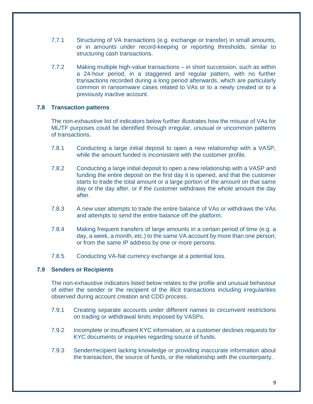- 7.7.1 Structuring of VA transactions (e.g. exchange or transfer) in small amounts, or in amounts under record-keeping or reporting thresholds, similar to structuring cash transactions.
- 7.7.2 Making multiple high-value transactions in short succession, such as within a 24-hour period, in a staggered and regular pattern, with no further transactions recorded during a long period afterwards, which are particularly common in ransomware cases related to VAs or to a newly created or to a previously inactive account.

#### **7.8 Transaction patterns**

The non-exhaustive list of indicators below further illustrates how the misuse of VAs for ML/TF purposes could be identified through irregular, unusual or uncommon patterns of transactions.

- 7.8.1 Conducting a large initial deposit to open a new relationship with a VASP, while the amount funded is inconsistent with the customer profile.
- 7.8.2 Conducting a large initial deposit to open a new relationship with a VASP and funding the entire deposit on the first day it is opened, and that the customer starts to trade the total amount or a large portion of the amount on that same day or the day after, or if the customer withdraws the whole amount the day after.
- 7.8.3 A new user attempts to trade the entire balance of VAs or withdraws the VAs and attempts to send the entire balance off the platform.
- 7.8.4 Making frequent transfers of large amounts in a certain period of time (e.g. a day, a week, a month, etc.) to the same VA account by more than one person; or from the same IP address by one or more persons.
- 7.8.5 Conducting VA-fiat currency exchange at a potential loss.

#### **7.9 Senders or Recipients**

The non-exhaustive indicators listed below relates to the profile and unusual behaviour of either the sender or the recipient of the illicit transactions including irregularities observed during account creation and CDD process.

- 7.9.1 Creating separate accounts under different names to circumvent restrictions on trading or withdrawal limits imposed by VASPs.
- 7.9.2 Incomplete or insufficient KYC information, or a customer declines requests for KYC documents or inquiries regarding source of funds.
- 7.9.3 Sender/recipient lacking knowledge or providing inaccurate information about the transaction, the source of funds, or the relationship with the counterparty.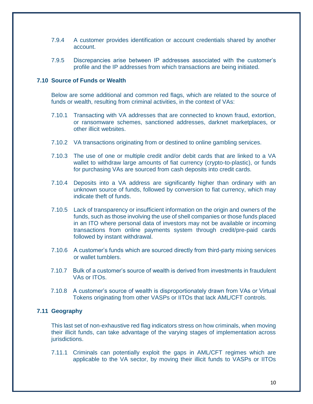- 7.9.4 A customer provides identification or account credentials shared by another account.
- 7.9.5 Discrepancies arise between IP addresses associated with the customer's profile and the IP addresses from which transactions are being initiated.

#### **7.10 Source of Funds or Wealth**

Below are some additional and common red flags, which are related to the source of funds or wealth, resulting from criminal activities, in the context of VAs:

- 7.10.1 Transacting with VA addresses that are connected to known fraud, extortion, or ransomware schemes, sanctioned addresses, darknet marketplaces, or other illicit websites.
- 7.10.2 VA transactions originating from or destined to online gambling services.
- 7.10.3 The use of one or multiple credit and/or debit cards that are linked to a VA wallet to withdraw large amounts of fiat currency (crypto-to-plastic), or funds for purchasing VAs are sourced from cash deposits into credit cards.
- 7.10.4 Deposits into a VA address are significantly higher than ordinary with an unknown source of funds, followed by conversion to fiat currency, which may indicate theft of funds.
- 7.10.5 Lack of transparency or insufficient information on the origin and owners of the funds, such as those involving the use of shell companies or those funds placed in an ITO where personal data of investors may not be available or incoming transactions from online payments system through credit/pre-paid cards followed by instant withdrawal.
- 7.10.6 A customer's funds which are sourced directly from third-party mixing services or wallet tumblers.
- 7.10.7 Bulk of a customer's source of wealth is derived from investments in fraudulent VAs or ITOs.
- 7.10.8 A customer's source of wealth is disproportionately drawn from VAs or Virtual Tokens originating from other VASPs or IITOs that lack AML/CFT controls.

#### **7.11 Geography**

This last set of non-exhaustive red flag indicators stress on how criminals, when moving their illicit funds, can take advantage of the varying stages of implementation across jurisdictions.

7.11.1 Criminals can potentially exploit the gaps in AML/CFT regimes which are applicable to the VA sector, by moving their illicit funds to VASPs or IITOs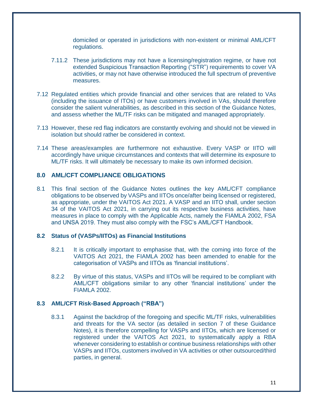domiciled or operated in jurisdictions with non-existent or minimal AML/CFT regulations.

- 7.11.2 These jurisdictions may not have a licensing/registration regime, or have not extended Suspicious Transaction Reporting ("STR") requirements to cover VA activities, or may not have otherwise introduced the full spectrum of preventive measures.
- 7.12 Regulated entities which provide financial and other services that are related to VAs (including the issuance of ITOs) or have customers involved in VAs, should therefore consider the salient vulnerabilities, as described in this section of the Guidance Notes, and assess whether the ML/TF risks can be mitigated and managed appropriately.
- 7.13 However, these red flag indicators are constantly evolving and should not be viewed in isolation but should rather be considered in context.
- 7.14 These areas/examples are furthermore not exhaustive. Every VASP or IITO will accordingly have unique circumstances and contexts that will determine its exposure to ML/TF risks. It will ultimately be necessary to make its own informed decision.

#### **8.0 AML/CFT COMPLIANCE OBLIGATIONS**

8.1 This final section of the Guidance Notes outlines the key AML/CFT compliance obligations to be observed by VASPs and IITOs once/after being licensed or registered, as appropriate, under the VAITOS Act 2021. A VASP and an IITO shall, under section 34 of the VAITOS Act 2021, in carrying out its respective business activities, have measures in place to comply with the Applicable Acts, namely the FIAMLA 2002, FSA and UNSA 2019. They must also comply with the FSC's AML/CFT Handbook.

#### **8.2 Status of (VASPs/IITOs) as Financial Institutions**

- 8.2.1 It is critically important to emphasise that, with the coming into force of the VAITOS Act 2021, the FIAMLA 2002 has been amended to enable for the categorisation of VASPs and IITOs as 'financial institutions'.
- 8.2.2 By virtue of this status, VASPs and IITOs will be required to be compliant with AML/CFT obligations similar to any other 'financial institutions' under the FIAMLA 2002.

#### **8.3 AML/CFT Risk-Based Approach ("RBA")**

8.3.1 Against the backdrop of the foregoing and specific ML/TF risks, vulnerabilities and threats for the VA sector (as detailed in section 7 of these Guidance Notes), it is therefore compelling for VASPs and IITOs, which are licensed or registered under the VAITOS Act 2021, to systematically apply a RBA whenever considering to establish or continue business relationships with other VASPs and IITOs, customers involved in VA activities or other outsourced/third parties, in general.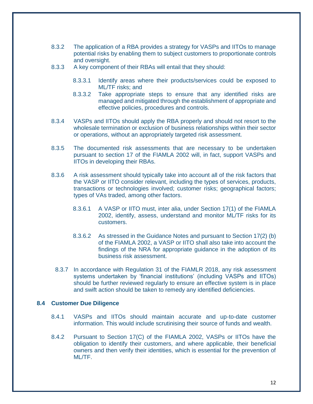- 8.3.2 The application of a RBA provides a strategy for VASPs and IITOs to manage potential risks by enabling them to subject customers to proportionate controls and oversight.
- 8.3.3 A key component of their RBAs will entail that they should:
	- 8.3.3.1 Identify areas where their products/services could be exposed to ML/TF risks; and
	- 8.3.3.2 Take appropriate steps to ensure that any identified risks are managed and mitigated through the establishment of appropriate and effective policies, procedures and controls.
- 8.3.4 VASPs and IITOs should apply the RBA properly and should not resort to the wholesale termination or exclusion of business relationships within their sector or operations, without an appropriately targeted risk assessment.
- 8.3.5 The documented risk assessments that are necessary to be undertaken pursuant to section 17 of the FIAMLA 2002 will, in fact, support VASPs and IITOs in developing their RBAs.
- 8.3.6 A risk assessment should typically take into account all of the risk factors that the VASP or IITO consider relevant, including the types of services, products, transactions or technologies involved; customer risks; geographical factors; types of VAs traded, among other factors.
	- 8.3.6.1 A VASP or IITO must, inter alia, under Section 17(1) of the FIAMLA 2002, identify, assess, understand and monitor ML/TF risks for its customers.
	- 8.3.6.2 As stressed in the Guidance Notes and pursuant to Section 17(2) (b) of the FIAMLA 2002, a VASP or IITO shall also take into account the findings of the NRA for appropriate guidance in the adoption of its business risk assessment.
	- 8.3.7 In accordance with Regulation 31 of the FIAMLR 2018, any risk assessment systems undertaken by 'financial institutions' (including VASPs and IITOs) should be further reviewed regularly to ensure an effective system is in place and swift action should be taken to remedy any identified deficiencies.

#### **8.4 Customer Due Diligence**

- 8.4.1 VASPs and IITOs should maintain accurate and up-to-date customer information. This would include scrutinising their source of funds and wealth.
- 8.4.2 Pursuant to Section 17(C) of the FIAMLA 2002, VASPs or IITOs have the obligation to identify their customers, and where applicable, their beneficial owners and then verify their identities, which is essential for the prevention of ML/TF.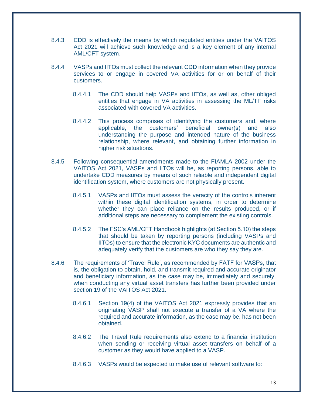- 8.4.3 CDD is effectively the means by which regulated entities under the VAITOS Act 2021 will achieve such knowledge and is a key element of any internal AML/CFT system.
- 8.4.4 VASPs and IITOs must collect the relevant CDD information when they provide services to or engage in covered VA activities for or on behalf of their customers.
	- 8.4.4.1 The CDD should help VASPs and IITOs, as well as, other obliged entities that engage in VA activities in assessing the ML/TF risks associated with covered VA activities.
	- 8.4.4.2 This process comprises of identifying the customers and, where applicable, the customers' beneficial owner(s) and also understanding the purpose and intended nature of the business relationship, where relevant, and obtaining further information in higher risk situations.
- 8.4.5 Following consequential amendments made to the FIAMLA 2002 under the VAITOS Act 2021, VASPs and IITOs will be, as reporting persons, able to undertake CDD measures by means of such reliable and independent digital identification system, where customers are not physically present.
	- 8.4.5.1 VASPs and IITOs must assess the veracity of the controls inherent within these digital identification systems, in order to determine whether they can place reliance on the results produced, or if additional steps are necessary to complement the existing controls.
	- 8.4.5.2 The FSC's AML/CFT Handbook highlights (at Section 5.10) the steps that should be taken by reporting persons (including VASPs and IITOs) to ensure that the electronic KYC documents are authentic and adequately verify that the customers are who they say they are.
- 8.4.6 The requirements of 'Travel Rule', as recommended by FATF for VASPs, that is, the obligation to obtain, hold, and transmit required and accurate originator and beneficiary information, as the case may be, immediately and securely, when conducting any virtual asset transfers has further been provided under section 19 of the VAITOS Act 2021.
	- 8.4.6.1 Section 19(4) of the VAITOS Act 2021 expressly provides that an originating VASP shall not execute a transfer of a VA where the required and accurate information, as the case may be, has not been obtained.
	- 8.4.6.2 The Travel Rule requirements also extend to a financial institution when sending or receiving virtual asset transfers on behalf of a customer as they would have applied to a VASP.
	- 8.4.6.3 VASPs would be expected to make use of relevant software to: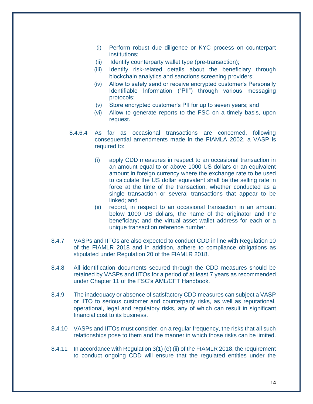- (i) Perform robust due diligence or KYC process on counterpart institutions;
- (ii) Identify counterparty wallet type (pre-transaction);
- (iii) Identify risk-related details about the beneficiary through blockchain analytics and sanctions screening providers;
- (iv) Allow to safely send or receive encrypted customer's Personally Identifiable Information ("PII") through various messaging protocols;
- (v) Store encrypted customer's PII for up to seven years; and
- (vi) Allow to generate reports to the FSC on a timely basis, upon request.
- 8.4.6.4 As far as occasional transactions are concerned, following consequential amendments made in the FIAMLA 2002, a VASP is required to:
	- (i) apply CDD measures in respect to an occasional transaction in an amount equal to or above 1000 US dollars or an equivalent amount in foreign currency where the exchange rate to be used to calculate the US dollar equivalent shall be the selling rate in force at the time of the transaction, whether conducted as a single transaction or several transactions that appear to be linked; and
	- (ii) record, in respect to an occasional transaction in an amount below 1000 US dollars, the name of the originator and the beneficiary; and the virtual asset wallet address for each or a unique transaction reference number.
- 8.4.7 VASPs and IITOs are also expected to conduct CDD in line with Regulation 10 of the FIAMLR 2018 and in addition, adhere to compliance obligations as stipulated under Regulation 20 of the FIAMLR 2018.
- 8.4.8 All identification documents secured through the CDD measures should be retained by VASPs and IITOs for a period of at least 7 years as recommended under Chapter 11 of the FSC's AML/CFT Handbook.
- 8.4.9 The inadequacy or absence of satisfactory CDD measures can subject a VASP or IITO to serious customer and counterparty risks, as well as reputational, operational, legal and regulatory risks, any of which can result in significant financial cost to its business.
- 8.4.10 VASPs and IITOs must consider, on a regular frequency, the risks that all such relationships pose to them and the manner in which those risks can be limited.
- 8.4.11 In accordance with Regulation 3(1) (e) (ii) of the FIAMLR 2018, the requirement to conduct ongoing CDD will ensure that the regulated entities under the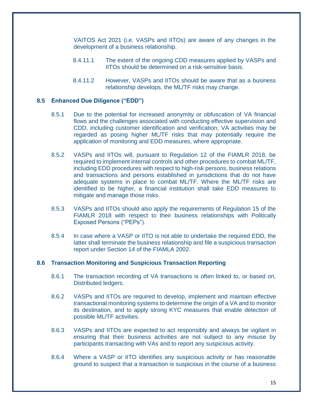VAITOS Act 2021 (i.e. VASPs and IITOs) are aware of any changes in the development of a business relationship.

- 8.4.11.1 The extent of the ongoing CDD measures applied by VASPs and IITOs should be determined on a risk-sensitive basis.
- 8.4.11.2 However, VASPs and IITOs should be aware that as a business relationship develops, the ML/TF risks may change.

#### **8.5 Enhanced Due Diligence ("EDD")**

- 8.5.1 Due to the potential for increased anonymity or obfuscation of VA financial flows and the challenges associated with conducting effective supervision and CDD, including customer identification and verification, VA activities may be regarded as posing higher ML/TF risks that may potentially require the application of monitoring and EDD measures, where appropriate.
- 8.5.2 VASPs and IITOs will, pursuant to Regulation 12 of the FIAMLR 2018, be required to implement internal controls and other procedures to combat ML/TF, including EDD procedures with respect to high-risk persons, business relations and transactions and persons established in jurisdictions that do not have adequate systems in place to combat ML/TF. Where the ML/TF risks are identified to be higher, a financial institution shall take EDD measures to mitigate and manage those risks.
- 8.5.3 VASPs and IITOs should also apply the requirements of Regulation 15 of the FIAMLR 2018 with respect to their business relationships with Politically Exposed Persons ("PEPs").
- 8.5.4 In case where a VASP or IITO is not able to undertake the required EDD, the latter shall terminate the business relationship and file a suspicious transaction report under Section 14 of the FIAMLA 2002.

#### **8.6 Transaction Monitoring and Suspicious Transaction Reporting**

- 8.6.1 The transaction recording of VA transactions is often linked to, or based on, Distributed ledgers.
- 8.6.2 VASPs and IITOs are required to develop, implement and maintain effective transactional monitoring systems to determine the origin of a VA and to monitor its destination, and to apply strong KYC measures that enable detection of possible ML/TF activities.
- 8.6.3 VASPs and IITOs are expected to act responsibly and always be vigilant in ensuring that their business activities are not subject to any misuse by participants transacting with VAs and to report any suspicious activity.
- 8.6.4 Where a VASP or IITO identifies any suspicious activity or has reasonable ground to suspect that a transaction is suspicious in the course of a business